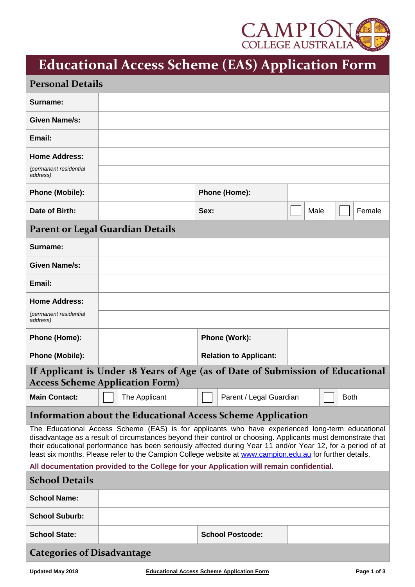

## **Educational Access Scheme (EAS) Application Form**

| <b>Personal Details</b>                                                                                                                                                                                                                                                                                                                                                                                                                     |  |               |  |      |                                                                                          |  |      |             |        |
|---------------------------------------------------------------------------------------------------------------------------------------------------------------------------------------------------------------------------------------------------------------------------------------------------------------------------------------------------------------------------------------------------------------------------------------------|--|---------------|--|------|------------------------------------------------------------------------------------------|--|------|-------------|--------|
| Surname:                                                                                                                                                                                                                                                                                                                                                                                                                                    |  |               |  |      |                                                                                          |  |      |             |        |
| <b>Given Name/s:</b>                                                                                                                                                                                                                                                                                                                                                                                                                        |  |               |  |      |                                                                                          |  |      |             |        |
| Email:                                                                                                                                                                                                                                                                                                                                                                                                                                      |  |               |  |      |                                                                                          |  |      |             |        |
| <b>Home Address:</b><br>(permanent residential<br>address)                                                                                                                                                                                                                                                                                                                                                                                  |  |               |  |      |                                                                                          |  |      |             |        |
| <b>Phone (Mobile):</b>                                                                                                                                                                                                                                                                                                                                                                                                                      |  |               |  |      | Phone (Home):                                                                            |  |      |             |        |
| Date of Birth:                                                                                                                                                                                                                                                                                                                                                                                                                              |  |               |  | Sex: |                                                                                          |  | Male |             | Female |
| <b>Parent or Legal Guardian Details</b>                                                                                                                                                                                                                                                                                                                                                                                                     |  |               |  |      |                                                                                          |  |      |             |        |
| Surname:                                                                                                                                                                                                                                                                                                                                                                                                                                    |  |               |  |      |                                                                                          |  |      |             |        |
| <b>Given Name/s:</b>                                                                                                                                                                                                                                                                                                                                                                                                                        |  |               |  |      |                                                                                          |  |      |             |        |
| Email:                                                                                                                                                                                                                                                                                                                                                                                                                                      |  |               |  |      |                                                                                          |  |      |             |        |
| <b>Home Address:</b><br>(permanent residential<br>address)                                                                                                                                                                                                                                                                                                                                                                                  |  |               |  |      |                                                                                          |  |      |             |        |
| Phone (Home):                                                                                                                                                                                                                                                                                                                                                                                                                               |  |               |  |      | Phone (Work):                                                                            |  |      |             |        |
| <b>Phone (Mobile):</b>                                                                                                                                                                                                                                                                                                                                                                                                                      |  |               |  |      | <b>Relation to Applicant:</b>                                                            |  |      |             |        |
| If Applicant is Under 18 Years of Age (as of Date of Submission of Educational<br><b>Access Scheme Application Form)</b>                                                                                                                                                                                                                                                                                                                    |  |               |  |      |                                                                                          |  |      |             |        |
| <b>Main Contact:</b>                                                                                                                                                                                                                                                                                                                                                                                                                        |  | The Applicant |  |      | Parent / Legal Guardian                                                                  |  |      | <b>Both</b> |        |
| Information about the Educational Access Scheme Application                                                                                                                                                                                                                                                                                                                                                                                 |  |               |  |      |                                                                                          |  |      |             |        |
| The Educational Access Scheme (EAS) is for applicants who have experienced long-term educational<br>disadvantage as a result of circumstances beyond their control or choosing. Applicants must demonstrate that<br>their educational performance has been seriously affected during Year 11 and/or Year 12, for a period of at<br>least six months. Please refer to the Campion College website at www.campion.edu.au for further details. |  |               |  |      |                                                                                          |  |      |             |        |
|                                                                                                                                                                                                                                                                                                                                                                                                                                             |  |               |  |      | All documentation provided to the College for your Application will remain confidential. |  |      |             |        |
| <b>School Details</b>                                                                                                                                                                                                                                                                                                                                                                                                                       |  |               |  |      |                                                                                          |  |      |             |        |
| <b>School Name:</b>                                                                                                                                                                                                                                                                                                                                                                                                                         |  |               |  |      |                                                                                          |  |      |             |        |
| <b>School Suburb:</b>                                                                                                                                                                                                                                                                                                                                                                                                                       |  |               |  |      |                                                                                          |  |      |             |        |
| <b>School State:</b>                                                                                                                                                                                                                                                                                                                                                                                                                        |  |               |  |      | <b>School Postcode:</b>                                                                  |  |      |             |        |
| <b>Categories of Disadvantage</b>                                                                                                                                                                                                                                                                                                                                                                                                           |  |               |  |      |                                                                                          |  |      |             |        |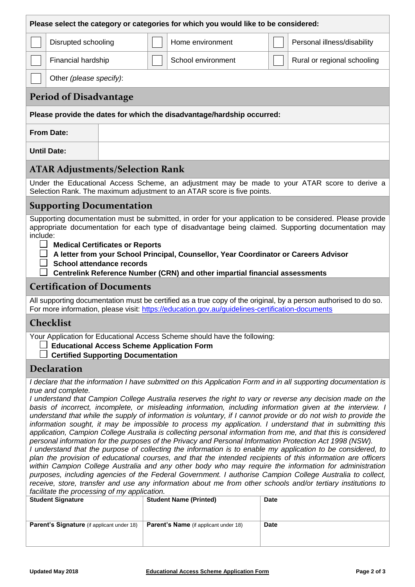| Please select the category or categories for which you would like to be considered:                                                                                                                                                                                                                                                                                                                                                                                                |                         |                                                                        |                            |                                                                                                                                                                                                                                                                                                                                                                                                                                                                                                                                                                                                                                                                                                                                                                                                                                                                                                                                                                                                                                                                                                                                                                                                                                                                     |  |  |  |  |
|------------------------------------------------------------------------------------------------------------------------------------------------------------------------------------------------------------------------------------------------------------------------------------------------------------------------------------------------------------------------------------------------------------------------------------------------------------------------------------|-------------------------|------------------------------------------------------------------------|----------------------------|---------------------------------------------------------------------------------------------------------------------------------------------------------------------------------------------------------------------------------------------------------------------------------------------------------------------------------------------------------------------------------------------------------------------------------------------------------------------------------------------------------------------------------------------------------------------------------------------------------------------------------------------------------------------------------------------------------------------------------------------------------------------------------------------------------------------------------------------------------------------------------------------------------------------------------------------------------------------------------------------------------------------------------------------------------------------------------------------------------------------------------------------------------------------------------------------------------------------------------------------------------------------|--|--|--|--|
| Disrupted schooling                                                                                                                                                                                                                                                                                                                                                                                                                                                                |                         | Home environment                                                       |                            | Personal illness/disability                                                                                                                                                                                                                                                                                                                                                                                                                                                                                                                                                                                                                                                                                                                                                                                                                                                                                                                                                                                                                                                                                                                                                                                                                                         |  |  |  |  |
| Financial hardship                                                                                                                                                                                                                                                                                                                                                                                                                                                                 |                         | School environment                                                     |                            | Rural or regional schooling                                                                                                                                                                                                                                                                                                                                                                                                                                                                                                                                                                                                                                                                                                                                                                                                                                                                                                                                                                                                                                                                                                                                                                                                                                         |  |  |  |  |
|                                                                                                                                                                                                                                                                                                                                                                                                                                                                                    | Other (please specify): |                                                                        |                            |                                                                                                                                                                                                                                                                                                                                                                                                                                                                                                                                                                                                                                                                                                                                                                                                                                                                                                                                                                                                                                                                                                                                                                                                                                                                     |  |  |  |  |
| <b>Period of Disadvantage</b>                                                                                                                                                                                                                                                                                                                                                                                                                                                      |                         |                                                                        |                            |                                                                                                                                                                                                                                                                                                                                                                                                                                                                                                                                                                                                                                                                                                                                                                                                                                                                                                                                                                                                                                                                                                                                                                                                                                                                     |  |  |  |  |
| Please provide the dates for which the disadvantage/hardship occurred:                                                                                                                                                                                                                                                                                                                                                                                                             |                         |                                                                        |                            |                                                                                                                                                                                                                                                                                                                                                                                                                                                                                                                                                                                                                                                                                                                                                                                                                                                                                                                                                                                                                                                                                                                                                                                                                                                                     |  |  |  |  |
| <b>From Date:</b>                                                                                                                                                                                                                                                                                                                                                                                                                                                                  |                         |                                                                        |                            |                                                                                                                                                                                                                                                                                                                                                                                                                                                                                                                                                                                                                                                                                                                                                                                                                                                                                                                                                                                                                                                                                                                                                                                                                                                                     |  |  |  |  |
| <b>Until Date:</b>                                                                                                                                                                                                                                                                                                                                                                                                                                                                 |                         |                                                                        |                            |                                                                                                                                                                                                                                                                                                                                                                                                                                                                                                                                                                                                                                                                                                                                                                                                                                                                                                                                                                                                                                                                                                                                                                                                                                                                     |  |  |  |  |
| <b>ATAR Adjustments/Selection Rank</b>                                                                                                                                                                                                                                                                                                                                                                                                                                             |                         |                                                                        |                            |                                                                                                                                                                                                                                                                                                                                                                                                                                                                                                                                                                                                                                                                                                                                                                                                                                                                                                                                                                                                                                                                                                                                                                                                                                                                     |  |  |  |  |
| Under the Educational Access Scheme, an adjustment may be made to your ATAR score to derive a<br>Selection Rank. The maximum adjustment to an ATAR score is five points.                                                                                                                                                                                                                                                                                                           |                         |                                                                        |                            |                                                                                                                                                                                                                                                                                                                                                                                                                                                                                                                                                                                                                                                                                                                                                                                                                                                                                                                                                                                                                                                                                                                                                                                                                                                                     |  |  |  |  |
| <b>Supporting Documentation</b>                                                                                                                                                                                                                                                                                                                                                                                                                                                    |                         |                                                                        |                            |                                                                                                                                                                                                                                                                                                                                                                                                                                                                                                                                                                                                                                                                                                                                                                                                                                                                                                                                                                                                                                                                                                                                                                                                                                                                     |  |  |  |  |
| Supporting documentation must be submitted, in order for your application to be considered. Please provide<br>appropriate documentation for each type of disadvantage being claimed. Supporting documentation may<br>include:<br><b>Medical Certificates or Reports</b><br>A letter from your School Principal, Counsellor, Year Coordinator or Careers Advisor<br><b>School attendance records</b><br>Centrelink Reference Number (CRN) and other impartial financial assessments |                         |                                                                        |                            |                                                                                                                                                                                                                                                                                                                                                                                                                                                                                                                                                                                                                                                                                                                                                                                                                                                                                                                                                                                                                                                                                                                                                                                                                                                                     |  |  |  |  |
|                                                                                                                                                                                                                                                                                                                                                                                                                                                                                    |                         |                                                                        |                            |                                                                                                                                                                                                                                                                                                                                                                                                                                                                                                                                                                                                                                                                                                                                                                                                                                                                                                                                                                                                                                                                                                                                                                                                                                                                     |  |  |  |  |
| <b>Certification of Documents</b>                                                                                                                                                                                                                                                                                                                                                                                                                                                  |                         |                                                                        |                            |                                                                                                                                                                                                                                                                                                                                                                                                                                                                                                                                                                                                                                                                                                                                                                                                                                                                                                                                                                                                                                                                                                                                                                                                                                                                     |  |  |  |  |
| For more information, please visit: https://education.gov.au/guidelines-certification-documents                                                                                                                                                                                                                                                                                                                                                                                    |                         |                                                                        |                            | All supporting documentation must be certified as a true copy of the original, by a person authorised to do so.                                                                                                                                                                                                                                                                                                                                                                                                                                                                                                                                                                                                                                                                                                                                                                                                                                                                                                                                                                                                                                                                                                                                                     |  |  |  |  |
| <b>Checklist</b>                                                                                                                                                                                                                                                                                                                                                                                                                                                                   |                         |                                                                        |                            |                                                                                                                                                                                                                                                                                                                                                                                                                                                                                                                                                                                                                                                                                                                                                                                                                                                                                                                                                                                                                                                                                                                                                                                                                                                                     |  |  |  |  |
| Your Application for Educational Access Scheme should have the following:<br><b>Educational Access Scheme Application Form</b><br><b>Certified Supporting Documentation</b>                                                                                                                                                                                                                                                                                                        |                         |                                                                        |                            |                                                                                                                                                                                                                                                                                                                                                                                                                                                                                                                                                                                                                                                                                                                                                                                                                                                                                                                                                                                                                                                                                                                                                                                                                                                                     |  |  |  |  |
| <b>Declaration</b>                                                                                                                                                                                                                                                                                                                                                                                                                                                                 |                         |                                                                        |                            |                                                                                                                                                                                                                                                                                                                                                                                                                                                                                                                                                                                                                                                                                                                                                                                                                                                                                                                                                                                                                                                                                                                                                                                                                                                                     |  |  |  |  |
| true and complete.<br>personal information for the purposes of the Privacy and Personal Information Protection Act 1998 (NSW).<br>facilitate the processing of my application.<br><b>Student Signature</b><br>Parent's Signature (if applicant under 18)                                                                                                                                                                                                                           |                         | <b>Student Name (Printed)</b><br>Parent's Name (if applicant under 18) | <b>Date</b><br><b>Date</b> | I declare that the information I have submitted on this Application Form and in all supporting documentation is<br>I understand that Campion College Australia reserves the right to vary or reverse any decision made on the<br>basis of incorrect, incomplete, or misleading information, including information given at the interview. I<br>understand that while the supply of information is voluntary, if I cannot provide or do not wish to provide the<br>information sought, it may be impossible to process my application. I understand that in submitting this<br>application, Campion College Australia is collecting personal information from me, and that this is considered<br>I understand that the purpose of collecting the information is to enable my application to be considered, to<br>plan the provision of educational courses, and that the intended recipients of this information are officers<br>within Campion College Australia and any other body who may require the information for administration<br>purposes, including agencies of the Federal Government. I authorise Campion College Australia to collect,<br>receive, store, transfer and use any information about me from other schools and/or tertiary institutions to |  |  |  |  |